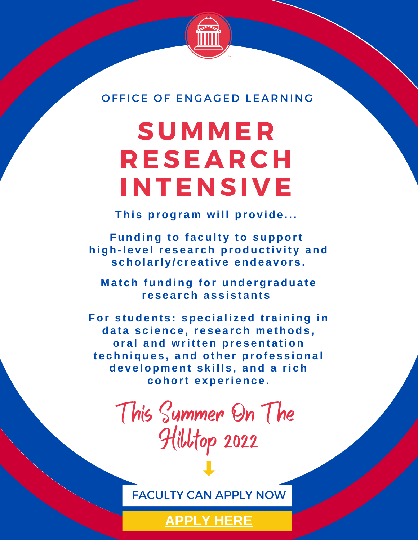

OFFICE OF ENGAGED LEARNING

# **SUMME R R ESEAR CH INTENSI V E**

**Thi s progr a m wi l l prov ide . . .**

**Funding to f a cult y to support high-l e v e l r e s e a r ch produc ti v it y and s chol a rl y / c r e a ti v e ende a vor s .**

**M a t ch funding for unde rgr adua t e research** assistants

**For s tudent s : spe c i a l i z ed tr a ining in da t a s c i enc e , r e s e a r ch m e thods , or a l and writt en pr e s ent a tion t e chnique s , and othe r prof e s s iona l de v e lop m ent s k i l l s , and a ri ch cohort e xpe ri enc e .**

> This Summer On The Hilltop 2022